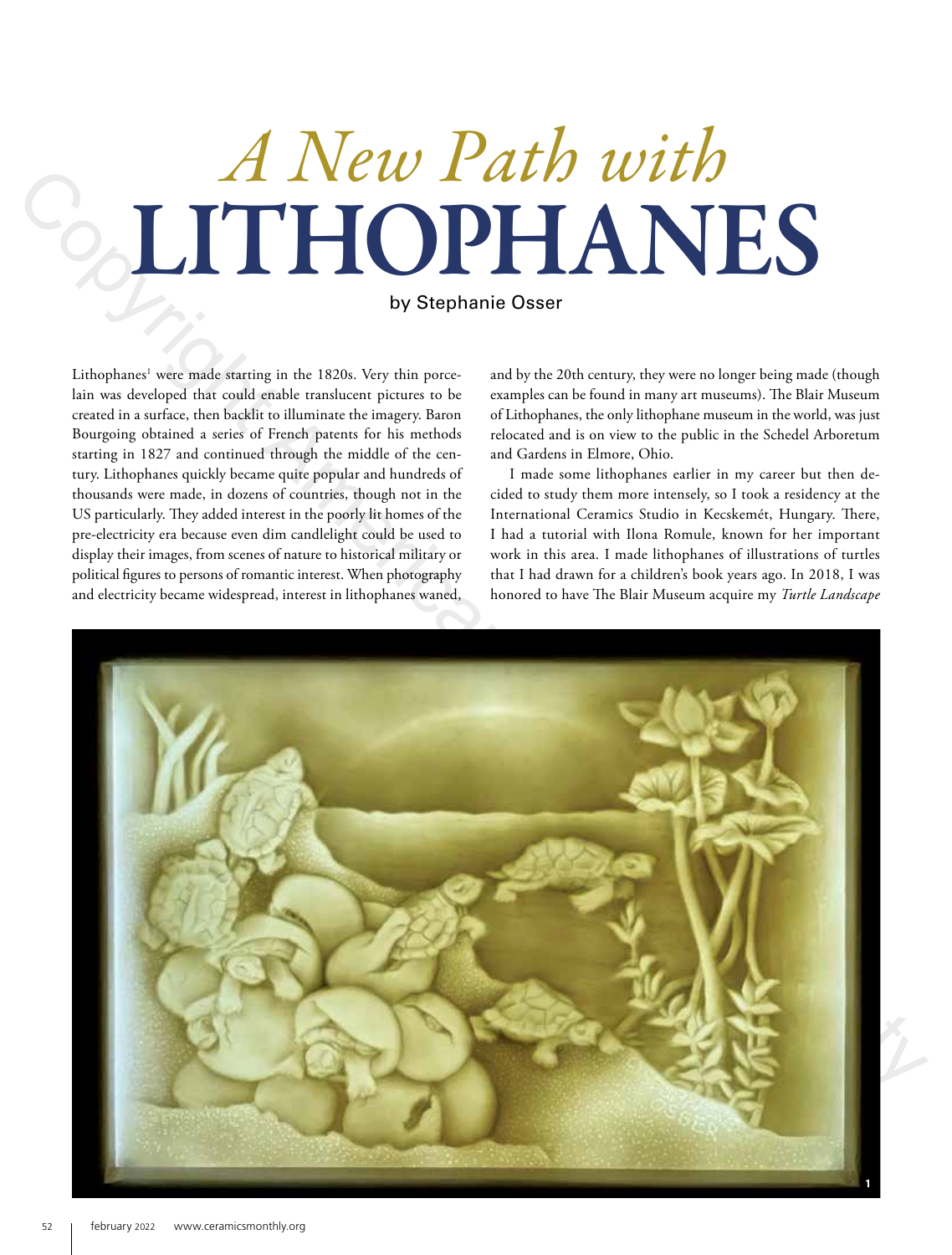# *A New Path with* LITHOPHANES

by Stephanie Osser

Lithophanes<sup>1</sup> were made starting in the 1820s. Very thin porcelain was developed that could enable translucent pictures to be created in a surface, then backlit to illuminate the imagery. Baron Bourgoing obtained a series of French patents for his methods starting in 1827 and continued through the middle of the century. Lithophanes quickly became quite popular and hundreds of thousands were made, in dozens of countries, though not in the US particularly. They added interest in the poorly lit homes of the pre-electricity era because even dim candlelight could be used to display their images, from scenes of nature to historical military or political figures to persons of romantic interest. When photography and electricity became widespread, interest in lithophanes waned,

and by the 20th century, they were no longer being made (though examples can be found in many art museums). The Blair Museum of Lithophanes, the only lithophane museum in the world, was just relocated and is on view to the public in the Schedel Arboretum and Gardens in Elmore, Ohio.

I made some lithophanes earlier in my career but then decided to study them more intensely, so I took a residency at the International Ceramics Studio in Kecskemét, Hungary. There, I had a tutorial with Ilona Romule, known for her important work in this area. I made lithophanes of illustrations of turtles that I had drawn for a children's book years ago. In 2018, I was honored to have The Blair Museum acquire my *Turtle Landscape* 

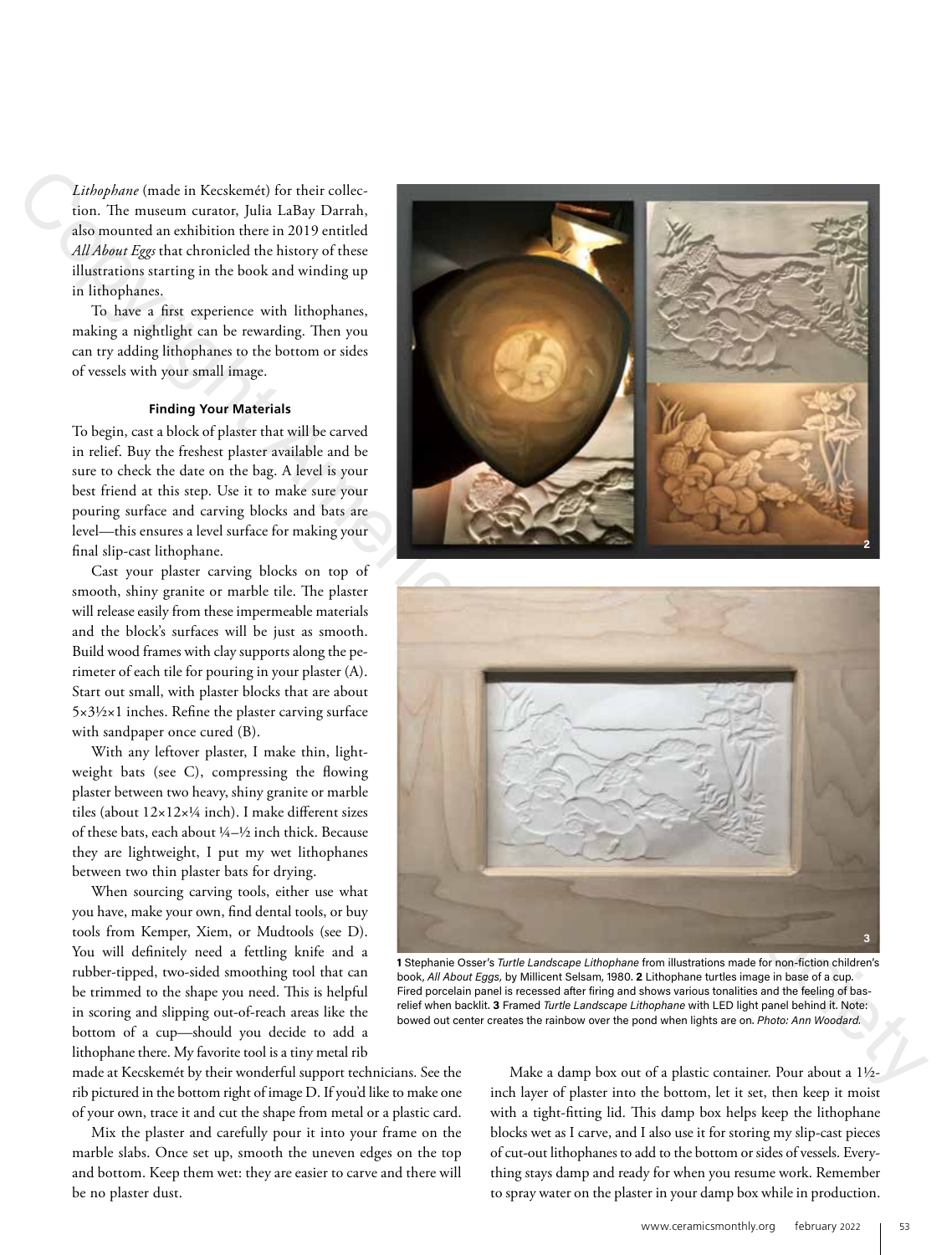*Lithophane* (made in Kecskemét) for their collection. The museum curator, Julia LaBay Darrah, also mounted an exhibition there in 2019 entitled *All About Eggs* that chronicled the history of these illustrations starting in the book and winding up in lithophanes.

To have a first experience with lithophanes, making a nightlight can be rewarding. Then you can try adding lithophanes to the bottom or sides of vessels with your small image.

### **Finding Your Materials**

To begin, cast a block of plaster that will be carved in relief. Buy the freshest plaster available and be sure to check the date on the bag. A level is your best friend at this step. Use it to make sure your pouring surface and carving blocks and bats are level—this ensures a level surface for making your final slip-cast lithophane.

Cast your plaster carving blocks on top of smooth, shiny granite or marble tile. The plaster will release easily from these impermeable materials and the block's surfaces will be just as smooth. Build wood frames with clay supports along the perimeter of each tile for pouring in your plaster (A). Start out small, with plaster blocks that are about 5×3½×1 inches. Refine the plaster carving surface with sandpaper once cured (B).

With any leftover plaster, I make thin, lightweight bats (see C), compressing the flowing plaster between two heavy, shiny granite or marble tiles (about  $12\times12\times1/4$  inch). I make different sizes of these bats, each about 1/4–1/2 inch thick. Because they are lightweight, I put my wet lithophanes between two thin plaster bats for drying.

When sourcing carving tools, either use what you have, make your own, find dental tools, or buy tools from Kemper, Xiem, or Mudtools (see D). You will definitely need a fettling knife and a rubber-tipped, two-sided smoothing tool that can be trimmed to the shape you need. This is helpful in scoring and slipping out-of-reach areas like the bottom of a cup—should you decide to add a lithophane there. My favorite tool is a tiny metal rib

made at Kecskemét by their wonderful support technicians. See the rib pictured in the bottom right of image D. If you'd like to make one

of your own, trace it and cut the shape from metal or a plastic card. Mix the plaster and carefully pour it into your frame on the marble slabs. Once set up, smooth the uneven edges on the top and bottom. Keep them wet: they are easier to carve and there will be no plaster dust.

Make a damp box out of a plastic container. Pour about a 1½ inch layer of plaster into the bottom, let it set, then keep it moist with a tight-fitting lid. This damp box helps keep the lithophane blocks wet as I carve, and I also use it for storing my slip-cast pieces of cut-out lithophanes to add to the bottom or sides of vessels. Everything stays damp and ready for when you resume work. Remember to spray water on the plaster in your damp box while in production.





Fired porcelain panel is recessed after firing and shows various tonalities and the feeling of basrelief when backlit. **3** Framed *Turtle Landscape Lithophane* with LED light panel behind it. Note: bowed out center creates the rainbow over the pond when lights are on. *Photo: Ann Woodard.*

**1** Stephanie Osser's *Turtle Landscape Lithophane* from illustrations made for non-fiction children's book, *All About Eggs,* by Millicent Selsam, 1980. **2** Lithophane turtles image in base of a cup.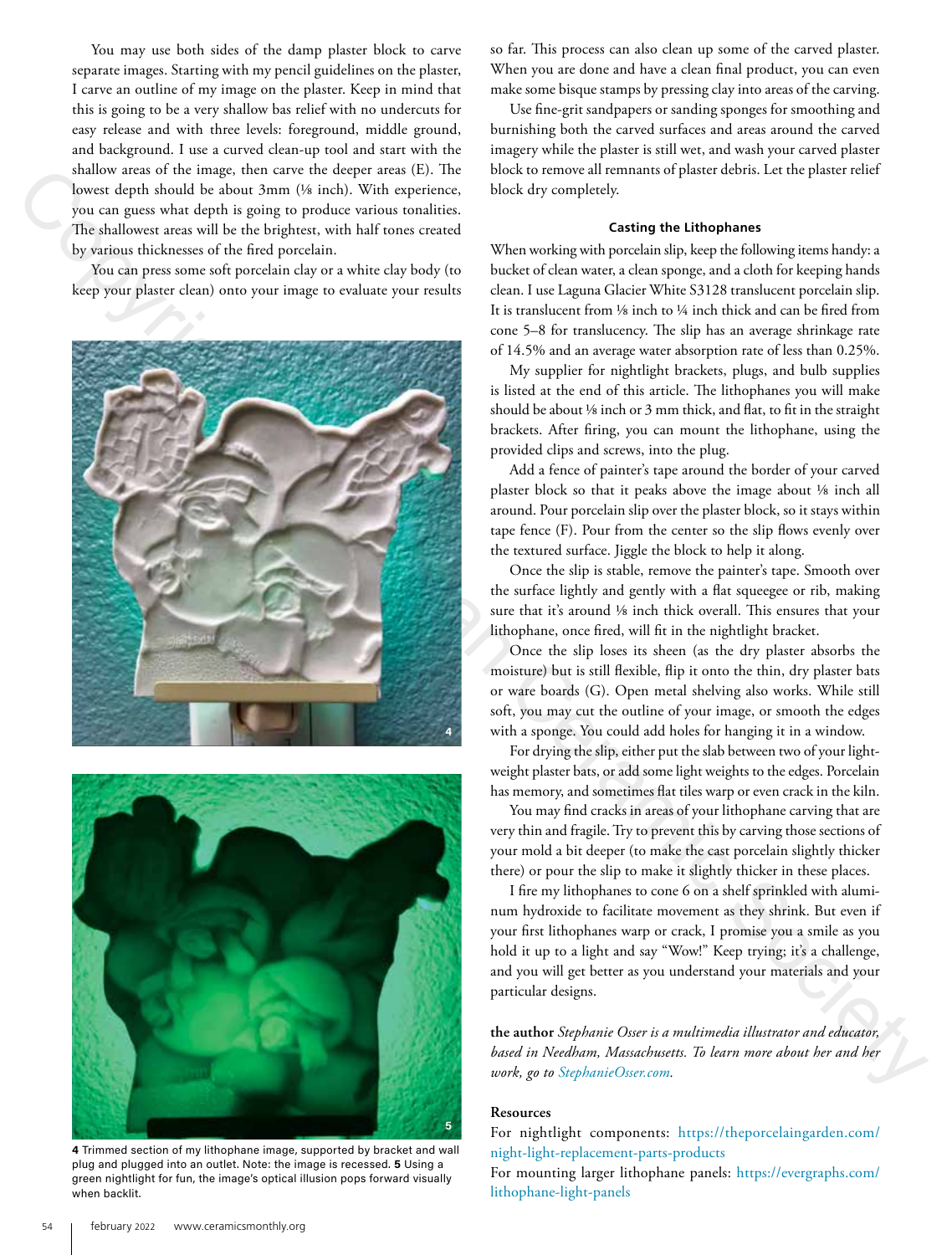You may use both sides of the damp plaster block to carve separate images. Starting with my pencil guidelines on the plaster, I carve an outline of my image on the plaster. Keep in mind that this is going to be a very shallow bas relief with no undercuts for easy release and with three levels: foreground, middle ground, and background. I use a curved clean-up tool and start with the shallow areas of the image, then carve the deeper areas (E). The lowest depth should be about 3mm (1/8 inch). With experience, you can guess what depth is going to produce various tonalities. The shallowest areas will be the brightest, with half tones created by various thicknesses of the fired porcelain.

You can press some soft porcelain clay or a white clay body (to keep your plaster clean) onto your image to evaluate your results





**4** Trimmed section of my lithophane image, supported by bracket and wall plug and plugged into an outlet. Note: the image is recessed. **5** Using a green nightlight for fun, the image's optical illusion pops forward visually when backlit.

so far. This process can also clean up some of the carved plaster. When you are done and have a clean final product, you can even make some bisque stamps by pressing clay into areas of the carving.

Use fine-grit sandpapers or sanding sponges for smoothing and burnishing both the carved surfaces and areas around the carved imagery while the plaster is still wet, and wash your carved plaster block to remove all remnants of plaster debris. Let the plaster relief block dry completely.

### **Casting the Lithophanes**

When working with porcelain slip, keep the following items handy: a bucket of clean water, a clean sponge, and a cloth for keeping hands clean. I use Laguna Glacier White S3128 translucent porcelain slip. It is translucent from 1/8 inch to 1/4 inch thick and can be fired from cone 5–8 for translucency. The slip has an average shrinkage rate of 14.5% and an average water absorption rate of less than 0.25%.

My supplier for nightlight brackets, plugs, and bulb supplies is listed at the end of this article. The lithophanes you will make should be about 1/8 inch or 3 mm thick, and flat, to fit in the straight brackets. After firing, you can mount the lithophane, using the provided clips and screws, into the plug.

Add a fence of painter's tape around the border of your carved plaster block so that it peaks above the image about 1/8 inch all around. Pour porcelain slip over the plaster block, so it stays within tape fence (F). Pour from the center so the slip flows evenly over the textured surface. Jiggle the block to help it along.

Once the slip is stable, remove the painter's tape. Smooth over the surface lightly and gently with a flat squeegee or rib, making sure that it's around 1/8 inch thick overall. This ensures that your lithophane, once fired, will fit in the nightlight bracket.

Once the slip loses its sheen (as the dry plaster absorbs the moisture) but is still flexible, flip it onto the thin, dry plaster bats or ware boards (G). Open metal shelving also works. While still soft, you may cut the outline of your image, or smooth the edges with a sponge. You could add holes for hanging it in a window.

For drying the slip, either put the slab between two of your lightweight plaster bats, or add some light weights to the edges. Porcelain has memory, and sometimes flat tiles warp or even crack in the kiln.

You may find cracks in areas of your lithophane carving that are very thin and fragile. Try to prevent this by carving those sections of your mold a bit deeper (to make the cast porcelain slightly thicker there) or pour the slip to make it slightly thicker in these places.

I fire my lithophanes to cone 6 on a shelf sprinkled with aluminum hydroxide to facilitate movement as they shrink. But even if your first lithophanes warp or crack, I promise you a smile as you hold it up to a light and say "Wow!" Keep trying; it's a challenge, and you will get better as you understand your materials and your particular designs.

**the author** *Stephanie Osser is a multimedia illustrator and educator, based in Needham, Massachusetts. To learn more about her and her work, go to StephanieOsser.com.*

### **Resources**

For nightlight components: https://theporcelaingarden.com/ night-light-replacement-parts-products

For mounting larger lithophane panels: https://evergraphs.com/ lithophane-light-panels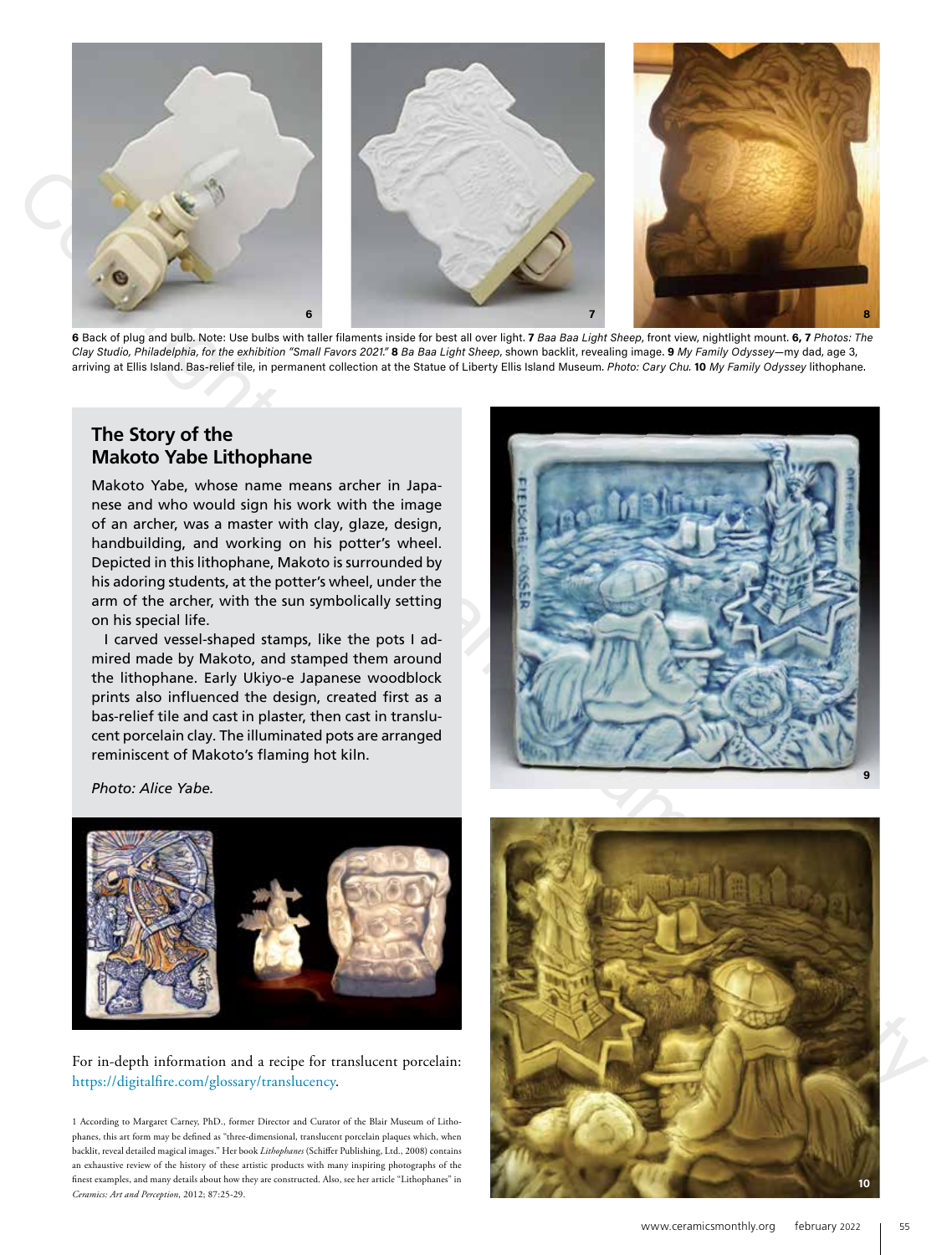

**6** Back of plug and bulb. Note: Use bulbs with taller filaments inside for best all over light. **7** *Baa Baa Light Sheep*, front view, nightlight mount. **6, 7** *Photos: The Clay Studio, Philadelphia, for the exhibition "Small Favors 2021."* **8** *Ba Baa Light Sheep*, shown backlit, revealing image. **9** *My Family Odyssey*—my dad, age 3, arriving at Ellis Island. Bas-relief tile, in permanent collection at the Statue of Liberty Ellis Island Museum. *Photo: Cary Chu.* **10** *My Family Odyssey* lithophane.

# **The Story of the Makoto Yabe Lithophane**

Makoto Yabe, whose name means archer in Japanese and who would sign his work with the image of an archer, was a master with clay, glaze, design, handbuilding, and working on his potter's wheel. Depicted in this lithophane, Makoto is surrounded by his adoring students, at the potter's wheel, under the arm of the archer, with the sun symbolically setting on his special life.

I carved vessel-shaped stamps, like the pots I admired made by Makoto, and stamped them around the lithophane. Early Ukiyo-e Japanese woodblock prints also influenced the design, created first as a bas-relief tile and cast in plaster, then cast in translucent porcelain clay. The illuminated pots are arranged reminiscent of Makoto's flaming hot kiln.



*Photo: Alice Yabe.*



## For in-depth information and a recipe for translucent porcelain: https://digitalfire.com/glossary/translucency.

1 According to Margaret Carney, PhD., former Director and Curator of the Blair Museum of Lithophanes, this art form may be defined as "three-dimensional, translucent porcelain plaques which, when backlit, reveal detailed magical images." Her book *Lithophanes* (Schiffer Publishing, Ltd., 2008) contains an exhaustive review of the history of these artistic products with many inspiring photographs of the finest examples, and many details about how they are constructed. Also, see her article "Lithophanes" in *Ceramics: Art and Perception*, 2012; 87:25-29.